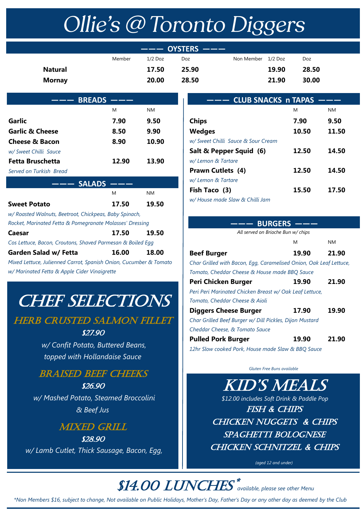# Ollie's @ Toronto Diggers

|                |        |           | $---$ OYSTERS $---$ |                    |       |       |  |
|----------------|--------|-----------|---------------------|--------------------|-------|-------|--|
|                | Member | $1/2$ Doz | Doz                 | Non Member 1/2 Doz |       | Doz   |  |
| <b>Natural</b> |        | 17.50     | 25.90               |                    | 19.90 | 28.50 |  |
| <b>Mornay</b>  |        | 20.00     | 28.50               |                    | 21.90 | 30.00 |  |
|                |        |           |                     |                    |       |       |  |

| <b>BREADS</b>              |       |       |  |
|----------------------------|-------|-------|--|
|                            | M     | NΜ    |  |
| Garlic                     | 7.90  | 9.50  |  |
| <b>Garlic &amp; Cheese</b> | 8.50  | 9.90  |  |
| <b>Cheese &amp; Bacon</b>  | 8.90  | 10.90 |  |
| w/ Sweet Chilli Sauce      |       |       |  |
| Fetta Bruschetta           | 12.90 | 13.90 |  |
| Served on Turkish Bread    |       |       |  |
| <b>SALADS</b><br>----      |       |       |  |
|                            | M     | NΜ    |  |

| <b>Sweet Potato</b>                                               | 17.50 | 19.50 |
|-------------------------------------------------------------------|-------|-------|
| w/ Roasted Walnuts, Beetroot, Chickpeas, Baby Spinach,            |       |       |
| Rocket, Marinated Fetta & Pomegranate Molasses' Dressing          |       |       |
| Caesar                                                            | 17.50 | 19.50 |
| Cos Lettuce, Bacon, Croutons, Shaved Parmesan & Boiled Egg        |       |       |
| <b>Garden Salad w/ Fetta</b>                                      | 16.00 | 18.00 |
| Mixed Lettuce, Julienned Carrot, Spanish Onion, Cucumber & Tomato |       |       |
|                                                                   |       |       |

*w/ Marinated Fetta & Apple Cider Vinaigrette*

# **CHEF SELECTIONS**

# **HERB CRUSTED SALMON FILLET**

#### \$27.90

 *w/ Confit Potato, Buttered Beans, topped with Hollandaise Sauce*

## Braised beef cheeks

\$26.90 *w/ Mashed Potato, Steamed Broccolini & Beef Jus*

## **MIXED GRILL**

\$28.90 *w/ Lamb Cutlet, Thick Sausage, Bacon, Egg,*

| --- CLUB SNACKS n TAPAS            |       |           |
|------------------------------------|-------|-----------|
|                                    | M     | <b>NM</b> |
| <b>Chips</b>                       | 7.90  | 9.50      |
| Wedges                             | 10.50 | 11.50     |
| w/ Sweet Chilli Sauce & Sour Cream |       |           |
| Salt & Pepper Squid (6)            | 12.50 | 14.50     |
| w/ Lemon & Tartare                 |       |           |
| <b>Prawn Cutlets (4)</b>           | 12.50 | 14.50     |
| w/ Lemon & Tartare                 |       |           |
| Fish Taco (3)                      | 15.50 | 17.50     |
| w/ House made Slaw & Chilli Jam    |       |           |

| -—— BURGERS                                                        |       |       |
|--------------------------------------------------------------------|-------|-------|
| All served on Brioche Bun w/ chips                                 |       |       |
|                                                                    | M     | NΜ    |
| <b>Beef Burger</b>                                                 | 19.90 | 21.90 |
| Char Grilled with Bacon, Egg, Caramelised Onion, Oak Leaf Lettuce, |       |       |
| Tomato, Cheddar Cheese & House made BBQ Sauce                      |       |       |
| Peri Chicken Burger                                                | 19.90 | 21.90 |
| Peri Peri Marinated Chicken Breast w/ Oak Leaf Lettuce,            |       |       |
| Tomato, Cheddar Cheese & Aioli                                     |       |       |
| <b>Diggers Cheese Burger</b>                                       | 17.90 | 19.90 |
| Char Grilled Beef Burger w/ Dill Pickles, Dijon Mustard            |       |       |
| Cheddar Cheese, & Tomato Sauce                                     |       |       |
| <b>Pulled Pork Burger</b>                                          | 19.90 | 21.90 |
| 12hr Slow cooked Pork, House made Slaw & BBQ Sauce                 |       |       |

*Gluten Free Buns available* 

 *\$12.00 includes Soft Drink & Paddle Pop* fish & chips CHICKEN NUGGETS & CHIPS SPAGHETTI BOLOGNESE CHICKEN SCHNITZEL & CHIPS Kid's meals

*(aged 12 and under)*

#### **\$14.00 LUNCHES** \* *available, please see other Menu*

*\*Non Members \$16, subject to change, Not available on Public Holidays, Mother's Day, Father's Day or any other day as deemed by the Club*